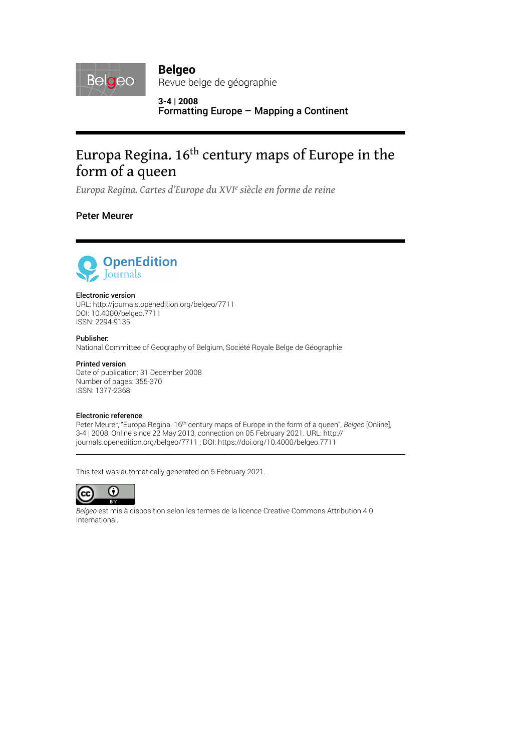

**Belgeo** Revue belge de géographie

**3-4 | 2008** Formatting Europe – Mapping a Continent

# Europa Regina. 16<sup>th</sup> century maps of Europe in the form of a queen

*Europa Regina. Cartes d'Europe du XVIe siècle en forme de reine*

Peter Meurer



#### Electronic version

URL:<http://journals.openedition.org/belgeo/7711> DOI: 10.4000/belgeo.7711 ISSN: 2294-9135

Publisher:

National Committee of Geography of Belgium, Société Royale Belge de Géographie

#### Printed version

Date of publication: 31 December 2008 Number of pages: 355-370 ISSN: 1377-2368

#### Electronic reference

Peter Meurer, "Europa Regina. 16th century maps of Europe in the form of a queen", *Belgeo* [Online], 3-4 | 2008, Online since 22 May 2013, connection on 05 February 2021. URL: http:// journals.openedition.org/belgeo/7711 ; DOI: https://doi.org/10.4000/belgeo.7711

This text was automatically generated on 5 February 2021.



*Belgeo* est mis à disposition selon les termes de la [licence Creative Commons Attribution 4.0](http://creativecommons.org/licenses/by/4.0/) [International.](http://creativecommons.org/licenses/by/4.0/)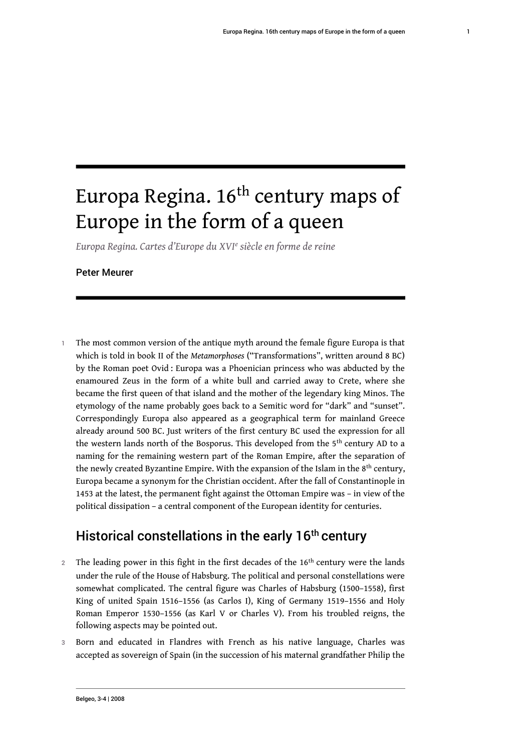1

# Europa Regina. 16<sup>th</sup> century maps of Europe in the form of a queen

*Europa Regina. Cartes d'Europe du XVI<sup>e</sup> siècle en forme de reine*

Peter Meurer

1 The most common version of the antique myth around the female figure Europa is that which is told in book II of the *Metamorphoses* ("Transformations", written around 8 BC) by the Roman poet Ovid : Europa was a Phoenician princess who was abducted by the enamoured Zeus in the form of a white bull and carried away to Crete, where she became the first queen of that island and the mother of the legendary king Minos. The etymology of the name probably goes back to a Semitic word for "dark" and "sunset". Correspondingly Europa also appeared as a geographical term for mainland Greece already around 500 BC. Just writers of the first century BC used the expression for all the western lands north of the Bosporus. This developed from the  $5<sup>th</sup>$  century AD to a naming for the remaining western part of the Roman Empire, after the separation of the newly created Byzantine Empire. With the expansion of the Islam in the  $8<sup>th</sup>$  century, Europa became a synonym for the Christian occident. After the fall of Constantinople in 1453 at the latest, the permanent fight against the Ottoman Empire was – in view of the political dissipation – a central component of the European identity for centuries.

# Historical constellations in the early 16<sup>th</sup> century

- 2 The leading power in this fight in the first decades of the 16<sup>th</sup> century were the lands under the rule of the House of Habsburg. The political and personal constellations were somewhat complicated. The central figure was Charles of Habsburg (1500–1558), first King of united Spain 1516–1556 (as Carlos I), King of Germany 1519–1556 and Holy Roman Emperor 1530–1556 (as Karl V or Charles V). From his troubled reigns, the following aspects may be pointed out.
- 3 Born and educated in Flandres with French as his native language, Charles was accepted as sovereign of Spain (in the succession of his maternal grandfather Philip the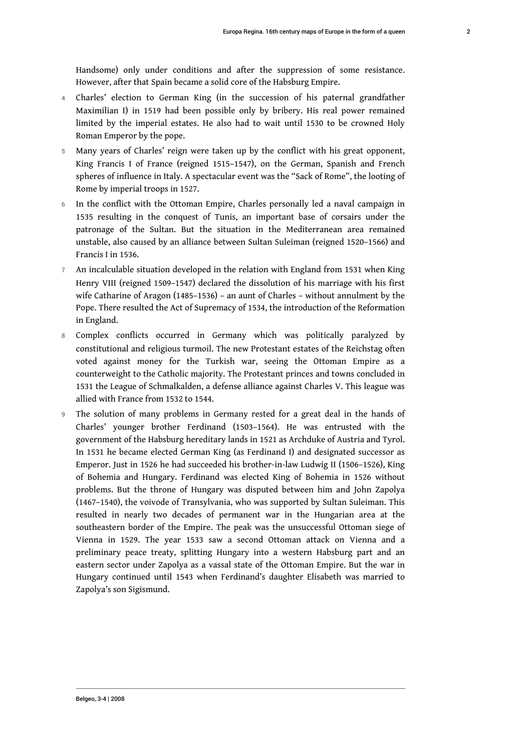Handsome) only under conditions and after the suppression of some resistance. However, after that Spain became a solid core of the Habsburg Empire.

- 4 Charles' election to German King (in the succession of his paternal grandfather Maximilian I) in 1519 had been possible only by bribery. His real power remained limited by the imperial estates. He also had to wait until 1530 to be crowned Holy Roman Emperor by the pope.
- 5 Many years of Charles' reign were taken up by the conflict with his great opponent, King Francis I of France (reigned 1515–1547), on the German, Spanish and French spheres of influence in Italy. A spectacular event was the "Sack of Rome", the looting of Rome by imperial troops in 1527.
- 6 In the conflict with the Ottoman Empire, Charles personally led a naval campaign in 1535 resulting in the conquest of Tunis, an important base of corsairs under the patronage of the Sultan. But the situation in the Mediterranean area remained unstable, also caused by an alliance between Sultan Suleiman (reigned 1520–1566) and Francis I in 1536.
- 7 An incalculable situation developed in the relation with England from 1531 when King Henry VIII (reigned 1509–1547) declared the dissolution of his marriage with his first wife Catharine of Aragon (1485–1536) – an aunt of Charles – without annulment by the Pope. There resulted the Act of Supremacy of 1534, the introduction of the Reformation in England.
- 8 Complex conflicts occurred in Germany which was politically paralyzed by constitutional and religious turmoil. The new Protestant estates of the Reichstag often voted against money for the Turkish war, seeing the Ottoman Empire as a counterweight to the Catholic majority. The Protestant princes and towns concluded in 1531 the League of Schmalkalden, a defense alliance against Charles V. This league was allied with France from 1532 to 1544.
- 9 The solution of many problems in Germany rested for a great deal in the hands of Charles' younger brother Ferdinand (1503–1564). He was entrusted with the government of the Habsburg hereditary lands in 1521 as Archduke of Austria and Tyrol. In 1531 he became elected German King (as Ferdinand I) and designated successor as Emperor. Just in 1526 he had succeeded his brother-in-law Ludwig II (1506–1526), King of Bohemia and Hungary. Ferdinand was elected King of Bohemia in 1526 without problems. But the throne of Hungary was disputed between him and John Zapolya (1467–1540), the voivode of Transylvania, who was supported by Sultan Suleiman. This resulted in nearly two decades of permanent war in the Hungarian area at the southeastern border of the Empire. The peak was the unsuccessful Ottoman siege of Vienna in 1529. The year 1533 saw a second Ottoman attack on Vienna and a preliminary peace treaty, splitting Hungary into a western Habsburg part and an eastern sector under Zapolya as a vassal state of the Ottoman Empire. But the war in Hungary continued until 1543 when Ferdinand's daughter Elisabeth was married to Zapolya's son Sigismund.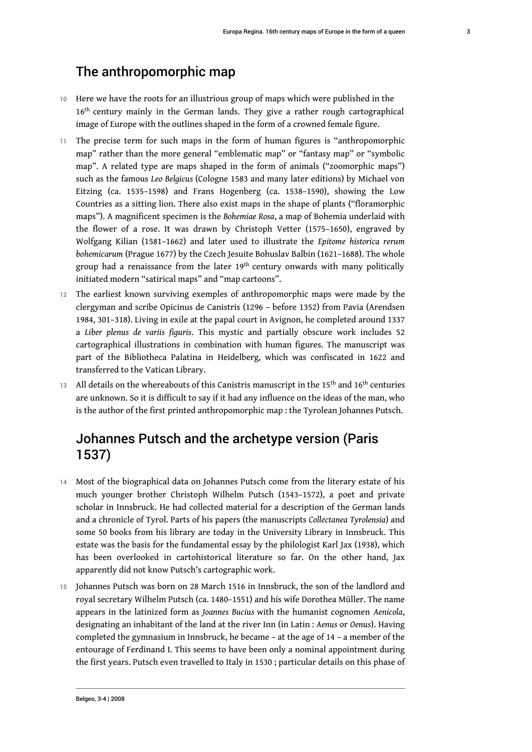### The anthropomorphic map

- 10 Here we have the roots for an illustrious group of maps which were published in the 16<sup>th</sup> century mainly in the German lands. They give a rather rough cartographical image of Europe with the outlines shaped in the form of a crowned female figure.
- 11 The precise term for such maps in the form of human figures is "anthropomorphic map" rather than the more general "emblematic map" or "fantasy map" or "symbolic map". A related type are maps shaped in the form of animals ("zoomorphic maps") such as the famous *Leo Belgicus* (Cologne 1583 and many later editions) by Michael von Eitzing (ca. 1535–1598) and Frans Hogenberg (ca. 1538–1590), showing the Low Countries as a sitting lion. There also exist maps in the shape of plants ("floramorphic maps"). A magnificent specimen is the *Bohemiae Rosa*, a map of Bohemia underlaid with the flower of a rose. It was drawn by Christoph Vetter (1575–1650), engraved by Wolfgang Kilian (1581–1662) and later used to illustrate the *Epitome historica rerum bohemicarum* (Prague 1677) by the Czech Jesuite Bohuslav Balbin (1621–1688). The whole group had a renaissance from the later 19<sup>th</sup> century onwards with many politically initiated modern "satirical maps" and "map cartoons".
- 12 The earliest known surviving exemples of anthropomorphic maps were made by the clergyman and scribe Opicinus de Canistris (1296 – before 1352) from Pavia (Arendsen 1984, 301–318). Living in exile at the papal court in Avignon, he completed around 1337 a *Liber plenus de variis figuris*. This mystic and partially obscure work includes 52 cartographical illustrations in combination with human figures. The manuscript was part of the Bibliotheca Palatina in Heidelberg, which was confiscated in 1622 and transferred to the Vatican Library.
- 13 All details on the whereabouts of this Canistris manuscript in the 15<sup>th</sup> and 16<sup>th</sup> centuries are unknown. So it is difficult to say if it had any influence on the ideas of the man, who is the author of the first printed anthropomorphic map : the Tyrolean Johannes Putsch.

# Johannes Putsch and the archetype version (Paris 1537)

- 14 Most of the biographical data on Johannes Putsch come from the literary estate of his much younger brother Christoph Wilhelm Putsch (1543–1572), a poet and private scholar in Innsbruck. He had collected material for a description of the German lands and a chronicle of Tyrol. Parts of his papers (the manuscripts *Collectanea Tyrolensia*) and some 50 books from his library are today in the University Library in Innsbruck. This estate was the basis for the fundamental essay by the philologist Karl Jax (1938), which has been overlooked in cartohistorical literature so far. On the other hand, Jax apparently did not know Putsch's cartographic work.
- 15 Johannes Putsch was born on 28 March 1516 in Innsbruck, the son of the landlord and royal secretary Wilhelm Putsch (ca. 1480–1551) and his wife Dorothea Müller. The name appears in the latinized form as *Joannes Bucius* with the humanist cognomen *Aenicola*, designating an inhabitant of the land at the river Inn (in Latin : *Aenus* or *Oenus*). Having completed the gymnasium in Innsbruck, he became – at the age of 14 – a member of the entourage of Ferdinand I. This seems to have been only a nominal appointment during the first years. Putsch even travelled to Italy in 1530 ; particular details on this phase of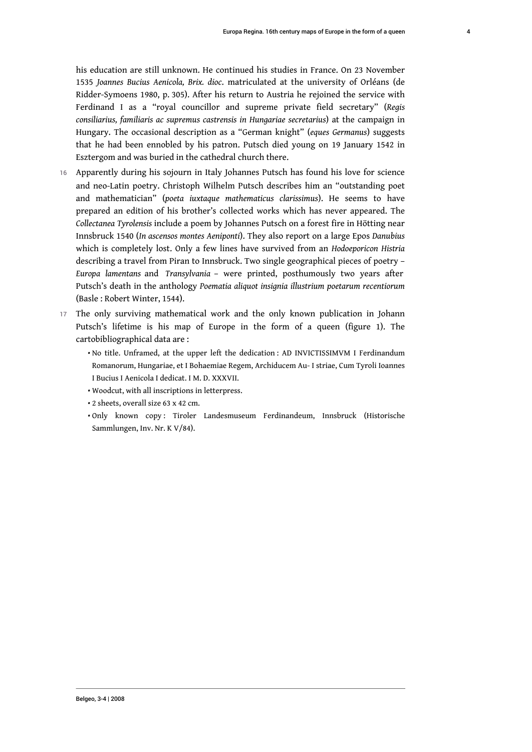his education are still unknown. He continued his studies in France. On 23 November 1535 *Joannes Bucius Aenicola, Brix. dioc*. matriculated at the university of Orléans (de Ridder-Symoens 1980, p. 305). After his return to Austria he rejoined the service with Ferdinand I as a "royal councillor and supreme private field secretary" (*Regis consiliarius, familiaris ac supremus castrensis in Hungariae secretarius*) at the campaign in Hungary. The occasional description as a "German knight" (*eques Germanus*) suggests that he had been ennobled by his patron. Putsch died young on 19 January 1542 in Esztergom and was buried in the cathedral church there.

- 16 Apparently during his sojourn in Italy Johannes Putsch has found his love for science and neo-Latin poetry. Christoph Wilhelm Putsch describes him an "outstanding poet and mathematician" (*poeta iuxtaque mathematicus clarissimus*). He seems to have prepared an edition of his brother's collected works which has never appeared. The *Collectanea Tyrolensis* include a poem by Johannes Putsch on a forest fire in Hötting near Innsbruck 1540 (*In ascensos montes Aeniponti*). They also report on a large Epos *Danubius* which is completely lost. Only a few lines have survived from an *Hodoeporicon Histria* describing a travel from Piran to Innsbruck. Two single geographical pieces of poetry – *Europa lamentans* and *Transylvania* – were printed, posthumously two years after Putsch's death in the anthology *Poematia aliquot insignia illustrium poetarum recentiorum* (Basle : Robert Winter, 1544).
- 17 The only surviving mathematical work and the only known publication in Johann Putsch's lifetime is his map of Europe in the form of a queen (figure 1). The cartobibliographical data are :
	- $\bm{\cdot}$  No title. Unframed, at the upper left the dedication : AD INVICTISSIMVM I Ferdinandum Romanorum, Hungariae, et I Bohaemiae Regem, Archiducem Au- I striae, Cum Tyroli Ioannes I Bucius I Aenicola I dedicat. I M. D. XXXVII.
	- Woodcut, with all inscriptions in letterpress. •
	- 2 sheets, overall size 63 x 42 cm. •
	- •Only known copy: Tiroler Landesmuseum Ferdinandeum, Innsbruck (Historische Sammlungen, Inv. Nr. K V/84).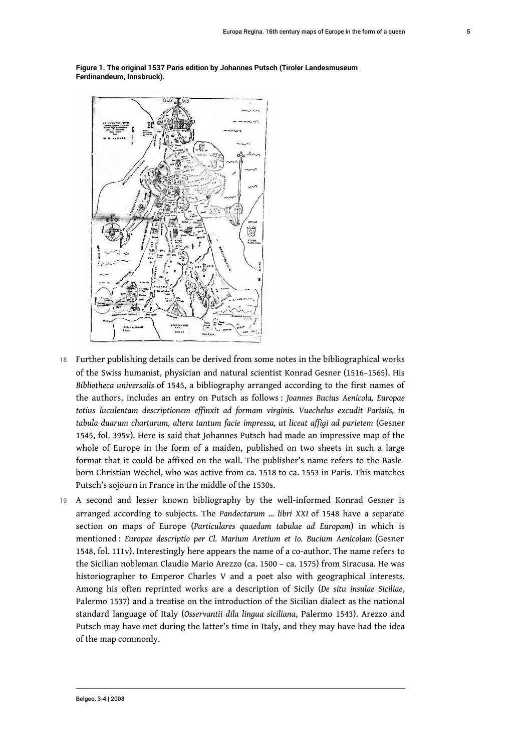

**Figure 1. The original 1537 Paris edition by Johannes Putsch (Tiroler Landesmuseum Ferdinandeum, Innsbruck).**

- 18 Further publishing details can be derived from some notes in the bibliographical works of the Swiss humanist, physician and natural scientist Konrad Gesner (1516–1565). His *Bibliotheca universalis* of 1545, a bibliography arranged according to the first names of the authors, includes an entry on Putsch as follows : *Joannes Bucius Aenicola, Europae totius luculentam descriptionem effinxit ad formam virginis. Vuechelus excudit Parisiis, in tabula duarum chartarum, altera tantum facie impressa, ut liceat affigi ad parietem* (Gesner 1545, fol. 395v). Here is said that Johannes Putsch had made an impressive map of the whole of Europe in the form of a maiden, published on two sheets in such a large format that it could be affixed on the wall. The publisher's name refers to the Basleborn Christian Wechel, who was active from ca. 1518 to ca. 1553 in Paris. This matches Putsch's sojourn in France in the middle of the 1530s.
- 19 A second and lesser known bibliography by the well-informed Konrad Gesner is arranged according to subjects. The *Pandectarum … libri XXI* of 1548 have a separate section on maps of Europe (*Particulares quaedam tabulae ad Europam*) in which is mentioned : *Europae descriptio per Cl. Marium Aretium et Io. Bucium Aenicolam* (Gesner 1548, fol. 111v). Interestingly here appears the name of a co-author. The name refers to the Sicilian nobleman Claudio Mario Arezzo (ca. 1500 – ca. 1575) from Siracusa. He was historiographer to Emperor Charles V and a poet also with geographical interests. Among his often reprinted works are a description of Sicily (*De situ insulae Siciliae*, Palermo 1537) and a treatise on the introduction of the Sicilian dialect as the national standard language of Italy (*Osservantii dila lingua siciliana*, Palermo 1543). Arezzo and Putsch may have met during the latter's time in Italy, and they may have had the idea of the map commonly.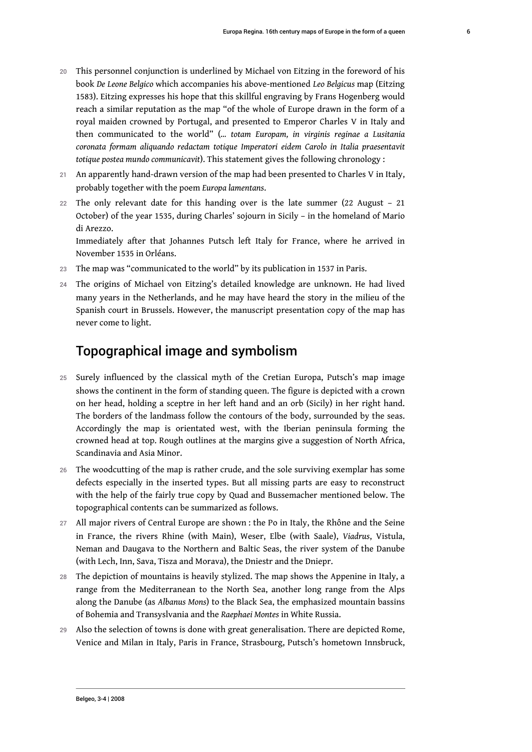- 20 This personnel conjunction is underlined by Michael von Eitzing in the foreword of his book *De Leone Belgico* which accompanies his above-mentioned *Leo Belgicus* map (Eitzing 1583). Eitzing expresses his hope that this skillful engraving by Frans Hogenberg would reach a similar reputation as the map "of the whole of Europe drawn in the form of a royal maiden crowned by Portugal, and presented to Emperor Charles V in Italy and then communicated to the world" (*… totam Europam, in virginis reginae a Lusitania coronata formam aliquando redactam totique Imperatori eidem Carolo in Italia praesentavit totique postea mundo communicavit*). This statement gives the following chronology :
- An apparently hand-drawn version of the map had been presented to Charles V in Italy, probably together with the poem *Europa lamentans*.
- 22 The only relevant date for this handing over is the late summer (22 August 21 October) of the year 1535, during Charles' sojourn in Sicily – in the homeland of Mario di Arezzo.

Immediately after that Johannes Putsch left Italy for France, where he arrived in November 1535 in Orléans.

- 23 The map was "communicated to the world" by its publication in 1537 in Paris.
- 24 The origins of Michael von Eitzing's detailed knowledge are unknown. He had lived many years in the Netherlands, and he may have heard the story in the milieu of the Spanish court in Brussels. However, the manuscript presentation copy of the map has never come to light.

### Topographical image and symbolism

- 25 Surely influenced by the classical myth of the Cretian Europa, Putsch's map image shows the continent in the form of standing queen. The figure is depicted with a crown on her head, holding a sceptre in her left hand and an orb (Sicily) in her right hand. The borders of the landmass follow the contours of the body, surrounded by the seas. Accordingly the map is orientated west, with the Iberian peninsula forming the crowned head at top. Rough outlines at the margins give a suggestion of North Africa, Scandinavia and Asia Minor.
- 26 The woodcutting of the map is rather crude, and the sole surviving exemplar has some defects especially in the inserted types. But all missing parts are easy to reconstruct with the help of the fairly true copy by Quad and Bussemacher mentioned below. The topographical contents can be summarized as follows.
- 27 All major rivers of Central Europe are shown : the Po in Italy, the Rhône and the Seine in France, the rivers Rhine (with Main), Weser, Elbe (with Saale), *Viadrus*, Vistula, Neman and Daugava to the Northern and Baltic Seas, the river system of the Danube (with Lech, Inn, Sava, Tisza and Morava), the Dniestr and the Dniepr.
- 28 The depiction of mountains is heavily stylized. The map shows the Appenine in Italy, a range from the Mediterranean to the North Sea, another long range from the Alps along the Danube (as *Albanus Mons*) to the Black Sea, the emphasized mountain bassins of Bohemia and Transyslvania and the *Raephaei Montes* in White Russia.
- 29 Also the selection of towns is done with great generalisation. There are depicted Rome, Venice and Milan in Italy, Paris in France, Strasbourg, Putsch's hometown Innsbruck,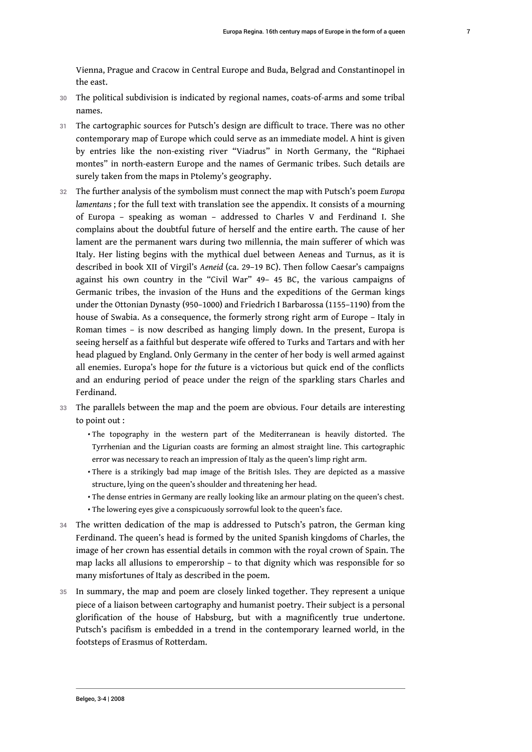Vienna, Prague and Cracow in Central Europe and Buda, Belgrad and Constantinopel in the east.

- 30 The political subdivision is indicated by regional names, coats-of-arms and some tribal names.
- 31 The cartographic sources for Putsch's design are difficult to trace. There was no other contemporary map of Europe which could serve as an immediate model. A hint is given by entries like the non-existing river "Viadrus" in North Germany, the "Riphaei montes" in north-eastern Europe and the names of Germanic tribes. Such details are surely taken from the maps in Ptolemy's geography.
- <sup>32</sup>The further analysis of the symbolism must connect the map with Putsch's poem *Europa lamentans* ; for the full text with translation see the appendix. It consists of a mourning of Europa – speaking as woman – addressed to Charles V and Ferdinand I. She complains about the doubtful future of herself and the entire earth. The cause of her lament are the permanent wars during two millennia, the main sufferer of which was Italy. Her listing begins with the mythical duel between Aeneas and Turnus, as it is described in book XII of Virgil's *Aeneid* (ca. 29–19 BC). Then follow Caesar's campaigns against his own country in the "Civil War" 49– 45 BC, the various campaigns of Germanic tribes, the invasion of the Huns and the expeditions of the German kings under the Ottonian Dynasty (950–1000) and Friedrich I Barbarossa (1155–1190) from the house of Swabia. As a consequence, the formerly strong right arm of Europe – Italy in Roman times – is now described as hanging limply down. In the present, Europa is seeing herself as a faithful but desperate wife offered to Turks and Tartars and with her head plagued by England. Only Germany in the center of her body is well armed against all enemies. Europa's hope for *the* future is a victorious but quick end of the conflicts and an enduring period of peace under the reign of the sparkling stars Charles and Ferdinand.
- 33 The parallels between the map and the poem are obvious. Four details are interesting to point out :
	- $\bm{\cdot}$  The topography in the western part of the Mediterranean is heavily distorted. The Tyrrhenian and the Ligurian coasts are forming an almost straight line. This cartographic error was necessary to reach an impression of Italy as the queen's limp right arm.
	- $\bm{\cdot}$  There is a strikingly bad map image of the British Isles. They are depicted as a massive structure, lying on the queen's shoulder and threatening her head.
	- $\boldsymbol{\cdot}$  The dense entries in Germany are really looking like an armour plating on the queen's chest.
	- The lowering eyes give a conspicuously sorrowful look to the queen's face. •
- 34 The written dedication of the map is addressed to Putsch's patron, the German king Ferdinand. The queen's head is formed by the united Spanish kingdoms of Charles, the image of her crown has essential details in common with the royal crown of Spain. The map lacks all allusions to emperorship – to that dignity which was responsible for so many misfortunes of Italy as described in the poem.
- 35 In summary, the map and poem are closely linked together. They represent a unique piece of a liaison between cartography and humanist poetry. Their subject is a personal glorification of the house of Habsburg, but with a magnificently true undertone. Putsch's pacifism is embedded in a trend in the contemporary learned world, in the footsteps of Erasmus of Rotterdam.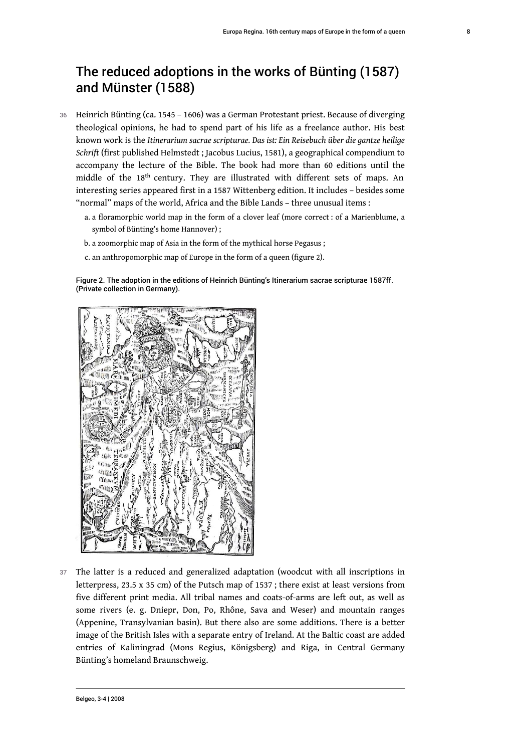# The reduced adoptions in the works of Bünting (1587) and Münster (1588)

- 36 Heinrich Bünting (ca. 1545 1606) was a German Protestant priest. Because of diverging theological opinions, he had to spend part of his life as a freelance author. His best known work is the *Itinerarium sacrae scripturae. Das ist: Ein Reisebuch über die gantze heilige Schrift* (first published Helmstedt ; Jacobus Lucius, 1581), a geographical compendium to accompany the lecture of the Bible. The book had more than 60 editions until the middle of the 18<sup>th</sup> century. They are illustrated with different sets of maps. An interesting series appeared first in a 1587 Wittenberg edition. It includes – besides some "normal" maps of the world, Africa and the Bible Lands – three unusual items :
	- a. a floramorphic world map in the form of a clover leaf (more correct : of a Marienblume, a symbol of Bünting's home Hannover) ;
	- b. a zoomorphic map of Asia in the form of the mythical horse Pegasus ;
	- c. an anthropomorphic map of Europe in the form of a queen (figure 2).

Figure 2. The adoption in the editions of Heinrich Bünting's Itinerarium sacrae scripturae 1587ff. (Private collection in Germany).



37 The latter is a reduced and generalized adaptation (woodcut with all inscriptions in letterpress, 23.5 x 35 cm) of the Putsch map of 1537 ; there exist at least versions from five different print media. All tribal names and coats-of-arms are left out, as well as some rivers (e. g. Dniepr, Don, Po, Rhône, Sava and Weser) and mountain ranges (Appenine, Transylvanian basin). But there also are some additions. There is a better image of the British Isles with a separate entry of Ireland. At the Baltic coast are added entries of Kaliningrad (Mons Regius, Königsberg) and Riga, in Central Germany Bünting's homeland Braunschweig.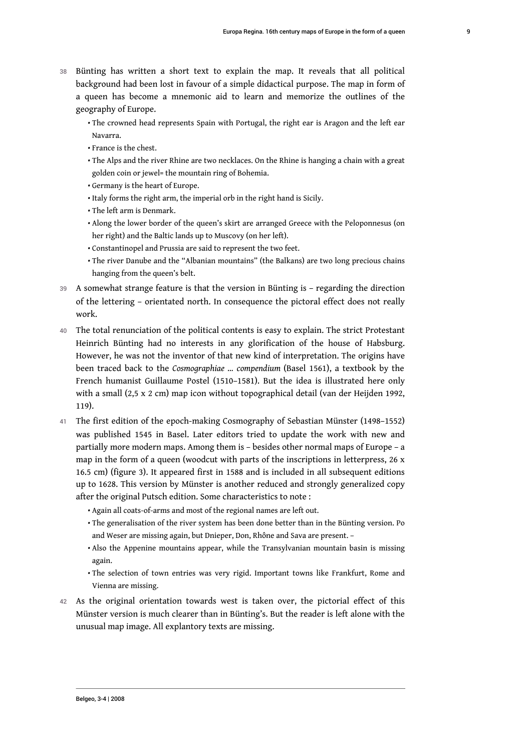- 38 Bünting has written a short text to explain the map. It reveals that all political background had been lost in favour of a simple didactical purpose. The map in form of a queen has become a mnemonic aid to learn and memorize the outlines of the geography of Europe.
	- $\bm\cdot$  The crowned head represents Spain with Portugal, the right ear is Aragon and the left ear Navarra.
	- France is the chest. •
	- $\boldsymbol{\cdot}$  The Alps and the river Rhine are two necklaces. On the Rhine is hanging a chain with a great golden coin or jewel= the mountain ring of Bohemia.
	- Germany is the heart of Europe. •
	- $\boldsymbol{\cdot}$  Italy forms the right arm, the imperial orb in the right hand is Sicily.
	- The left arm is Denmark. •
	- $\boldsymbol{\cdot}$  Along the lower border of the queen's skirt are arranged Greece with the Peloponnesus (on her right) and the Baltic lands up to Muscovy (on her left).
	- Constantinopel and Prussia are said to represent the two feet. •
	- $\bm\cdot$  The river Danube and the "Albanian mountains" (the Balkans) are two long precious chains hanging from the queen's belt.
- 39 A somewhat strange feature is that the version in Bünting is regarding the direction of the lettering – orientated north. In consequence the pictoral effect does not really work.
- 40 The total renunciation of the political contents is easy to explain. The strict Protestant Heinrich Bünting had no interests in any glorification of the house of Habsburg. However, he was not the inventor of that new kind of interpretation. The origins have been traced back to the *Cosmographiae … compendium* (Basel 1561), a textbook by the French humanist Guillaume Postel (1510–1581). But the idea is illustrated here only with a small (2,5 x 2 cm) map icon without topographical detail (van der Heijden 1992, 119).
- 41 The first edition of the epoch-making Cosmography of Sebastian Münster (1498–1552) was published 1545 in Basel. Later editors tried to update the work with new and partially more modern maps. Among them is – besides other normal maps of Europe – a map in the form of a queen (woodcut with parts of the inscriptions in letterpress, 26 x 16.5 cm) (figure 3). It appeared first in 1588 and is included in all subsequent editions up to 1628. This version by Münster is another reduced and strongly generalized copy after the original Putsch edition. Some characteristics to note :
	- $\boldsymbol{\cdot}$  Again all coats-of-arms and most of the regional names are left out.
	- $\bm\cdot$  The generalisation of the river system has been done better than in the Bünting version. Po and Weser are missing again, but Dnieper, Don, Rhône and Sava are present. –
	- $\bm{\cdot}$  Also the Appenine mountains appear, while the Transylvanian mountain basin is missing again.
	- $\bm\cdot$  The selection of town entries was very rigid. Important towns like Frankfurt, Rome and Vienna are missing.
- 42 As the original orientation towards west is taken over, the pictorial effect of this Münster version is much clearer than in Bünting's. But the reader is left alone with the unusual map image. All explantory texts are missing.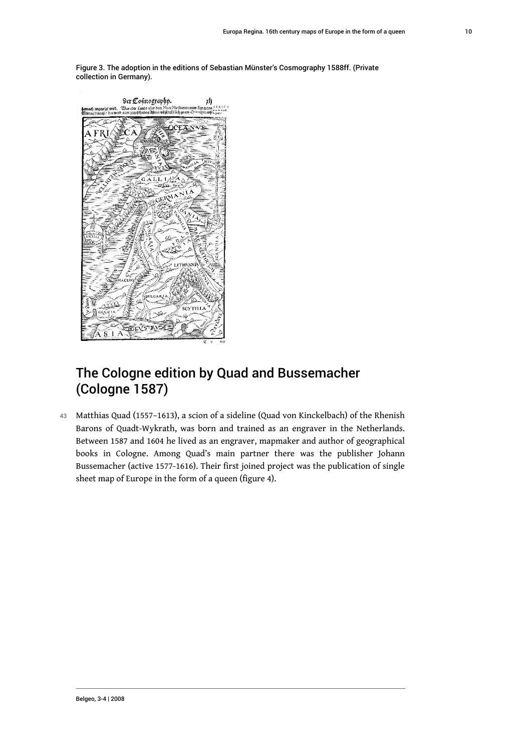Figure 3. The adoption in the editions of Sebastian Münster's Cosmography 1588ff. (Private collection in Germany).



# The Cologne edition by Quad and Bussemacher (Cologne 1587)

43 Matthias Quad (1557–1613), a scion of a sideline (Quad von Kinckelbach) of the Rhenish Barons of Quadt-Wykrath, was born and trained as an engraver in the Netherlands. Between 1587 and 1604 he lived as an engraver, mapmaker and author of geographical books in Cologne. Among Quad's main partner there was the publisher Johann Bussemacher (active 1577-1616). Their first joined project was the publication of single sheet map of Europe in the form of a queen (figure 4).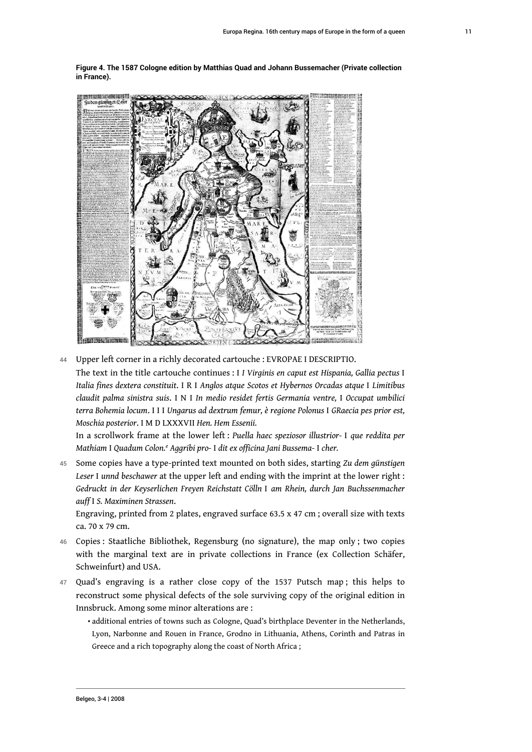**Figure 4. The 1587 Cologne edition by Matthias Quad and Johann Bussemacher (Private collection in France).**



44 Upper left corner in a richly decorated cartouche : EVROPAE I DESCRIPTIO. The text in the title cartouche continues : I *I Virginis en caput est Hispania, Gallia pectus* I *Italia fines dextera constituit*. I R I *Anglos atque Scotos et Hybernos Orcadas atque* I *Limitibus claudit palma sinistra suis*. I N I *In medio residet fertis Germania ventre,* I *Occupat umbilici terra Bohemia locum*. I I I *Ungarus ad dextrum femur, è regione Polonus* I *GRaecia pes prior est, Moschia posterior*. I M D LXXXVII *Hen. Hem Essenii.*

In a scrollwork frame at the lower left : *Puella haec speziosor illustrior-* I *que reddita per Mathiam* I *Quadum Colon.<sup>e</sup> Aggribi pro-* I *dit ex officina Jani Bussema-* I *cher.*

<sup>45</sup>Some copies have a type-printed text mounted on both sides, starting *Zu dem günstigen Leser* I *unnd beschawer* at the upper left and ending with the imprint at the lower right : *Gedruckt in der Keyserlichen Freyen Reichstatt Cölln* I *am Rhein, durch Jan Buchssenmacher auff* I *S. Maximinen Strassen*.

Engraving, printed from 2 plates, engraved surface 63.5 x 47 cm ; overall size with texts ca. 70 x 79 cm.

- 46 Copies : Staatliche Bibliothek, Regensburg (no signature), the map only ; two copies with the marginal text are in private collections in France (ex Collection Schäfer, Schweinfurt) and USA.
- 47 Quad's engraving is a rather close copy of the 1537 Putsch map ; this helps to reconstruct some physical defects of the sole surviving copy of the original edition in Innsbruck. Among some minor alterations are :
	- $\boldsymbol{\cdot}$  additional entries of towns such as Cologne, Quad's birthplace Deventer in the Netherlands, Lyon, Narbonne and Rouen in France, Grodno in Lithuania, Athens, Corinth and Patras in Greece and a rich topography along the coast of North Africa ;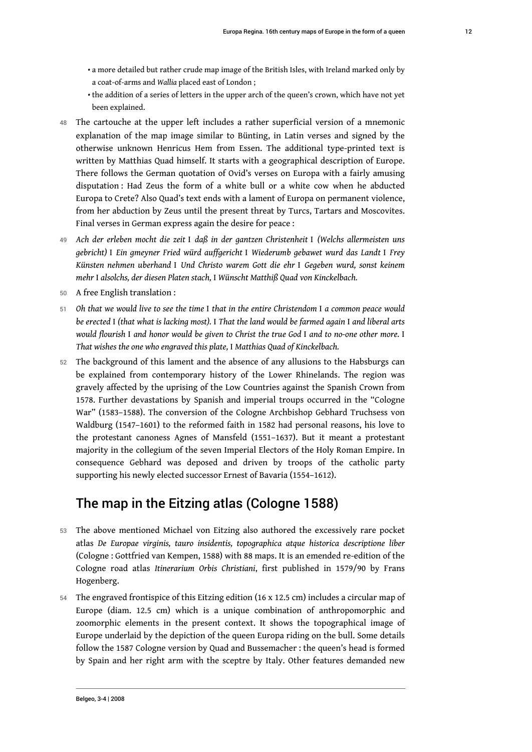- $\bm{\cdot}$  a more detailed but rather crude map image of the British Isles, with Ireland marked only by a coat-of-arms and *Wallia* placed east of London ;
- $\bm{\cdot}$  the addition of a series of letters in the upper arch of the queen's crown, which have not yet been explained.
- 48 The cartouche at the upper left includes a rather superficial version of a mnemonic explanation of the map image similar to Bünting, in Latin verses and signed by the otherwise unknown Henricus Hem from Essen. The additional type-printed text is written by Matthias Quad himself. It starts with a geographical description of Europe. There follows the German quotation of Ovid's verses on Europa with a fairly amusing disputation : Had Zeus the form of a white bull or a white cow when he abducted Europa to Crete? Also Quad's text ends with a lament of Europa on permanent violence, from her abduction by Zeus until the present threat by Turcs, Tartars and Moscovites. Final verses in German express again the desire for peace :
- <sup>49</sup>*Ach der erleben mocht die zeit* I *daß in der gantzen Christenheit* I *(Welchs allermeisten uns gebricht)* I *Ein gmeyner Fried würd auffgericht* I *Wiederumb gebawet wurd das Landt* I *Frey Künsten nehmen uberhand* I *Und Christo warem Gott die ehr* I *Gegeben wurd, sonst keinem mehr* I *alsolchs, der diesen Platen stach,* I *Wünscht Matthiß Quad von Kinckelbach.*
- 50 A free English translation :
- <sup>51</sup>*Oh that we would live to see the time* I *that in the entire Christendom* I *a common peace would be erected* I *(that what is lacking most).* I *That the land would be farmed again* I *and liberal arts would flourish* I *and honor would be given to Christ the true God* I *and to no-one other more.* I *That wishes the one who engraved this plate,* I *Matthias Quad of Kinckelbach.*
- 52 The background of this lament and the absence of any allusions to the Habsburgs can be explained from contemporary history of the Lower Rhinelands. The region was gravely affected by the uprising of the Low Countries against the Spanish Crown from 1578. Further devastations by Spanish and imperial troups occurred in the "Cologne War" (1583–1588). The conversion of the Cologne Archbishop Gebhard Truchsess von Waldburg (1547–1601) to the reformed faith in 1582 had personal reasons, his love to the protestant canoness Agnes of Mansfeld (1551–1637). But it meant a protestant majority in the collegium of the seven Imperial Electors of the Holy Roman Empire. In consequence Gebhard was deposed and driven by troops of the catholic party supporting his newly elected successor Ernest of Bavaria (1554–1612).

# The map in the Eitzing atlas (Cologne 1588)

- 53 The above mentioned Michael von Eitzing also authored the excessively rare pocket atlas *De Europae virginis, tauro insidentis, topographica atque historica descriptione liber* (Cologne : Gottfried van Kempen, 1588) with 88 maps. It is an emended re-edition of the Cologne road atlas *Itinerarium Orbis Christiani*, first published in 1579/90 by Frans Hogenberg.
- 54 The engraved frontispice of this Eitzing edition (16 x 12.5 cm) includes a circular map of Europe (diam. 12.5 cm) which is a unique combination of anthropomorphic and zoomorphic elements in the present context. It shows the topographical image of Europe underlaid by the depiction of the queen Europa riding on the bull. Some details follow the 1587 Cologne version by Quad and Bussemacher : the queen's head is formed by Spain and her right arm with the sceptre by Italy. Other features demanded new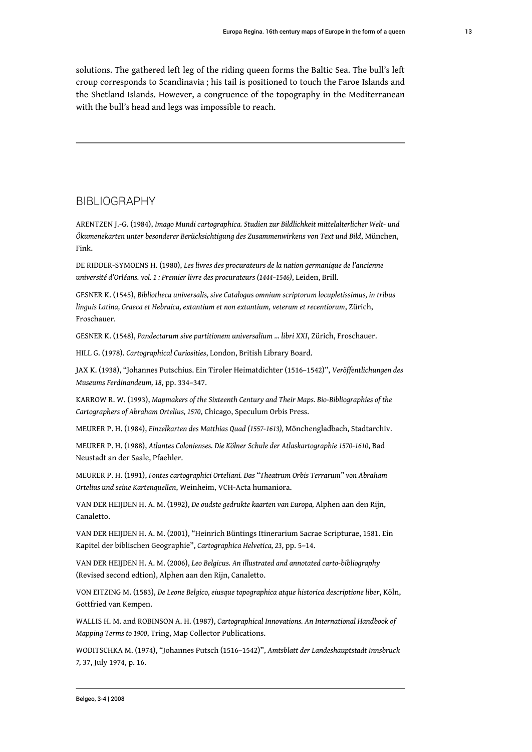solutions. The gathered left leg of the riding queen forms the Baltic Sea. The bull's left croup corresponds to Scandinavia ; his tail is positioned to touch the Faroe Islands and the Shetland Islands. However, a congruence of the topography in the Mediterranean with the bull's head and legs was impossible to reach.

#### BIBLIOGRAPHY

ARENTZEN J.-G. (1984), *Imago Mundi cartographica. Studien zur Bildlichkeit mittelalterlicher Welt- und Ökumenekarten unter besonderer Berücksichtigung des Zusammenwirkens von Text und Bild*, München, Fink.

DE RIDDER-SYMOENS H. (1980), *Les livres des procurateurs de la nation germanique de l'ancienne université d'Orléans. vol. 1 : Premier livre des procurateurs (1444–1546)*, Leiden, Brill.

GESNER K. (1545), *Bibliotheca universalis, sive Catalogus omnium scriptorum locupletissimus, in tribus linguis Latina, Graeca et Hebraica, extantium et non extantium, veterum et recentiorum*, Zürich, Froschauer.

GESNER K. (1548), *Pandectarum sive partitionem universalium ... libri XXI*, Zürich, Froschauer.

HILL G. (1978). *Cartographical Curiosities*, London, British Library Board.

JAX K. (1938), "Johannes Putschius. Ein Tiroler Heimatdichter (1516–1542)", *Veröffentlichungen des Museums Ferdinandeum, 18*, pp. 334–347.

KARROW R. W. (1993), *Mapmakers of the Sixteenth Century and Their Maps. Bio-Bibliographies of the Cartographers of Abraham Ortelius, 1570*, Chicago, Speculum Orbis Press.

MEURER P. H. (1984), *Einzelkarten des Matthias Quad (1557-1613),* Mönchengladbach, Stadtarchiv.

MEURER P. H. (1988), *Atlantes Colonienses. Die Kölner Schule der Atlaskartographie 1570-1610*, Bad Neustadt an der Saale, Pfaehler.

MEURER P. H. (1991), *Fontes cartographici Orteliani. Das "Theatrum Orbis Terrarum" von Abraham Ortelius und seine Kartenquellen*, Weinheim, VCH-Acta humaniora.

VAN DER HEIJDEN H. A. M. (1992), *De oudste gedrukte kaarten van Europa,* Alphen aan den Rijn, Canaletto.

VAN DER HEIJDEN H. A. M. (2001), "Heinrich Büntings Itinerarium Sacrae Scripturae, 1581. Ein Kapitel der biblischen Geographie", *Cartographica Helvetica, 23*, pp. 5–14.

VAN DER HEIJDEN H. A. M. (2006), *Leo Belgicus. An illustrated and annotated carto-bibliography* (Revised second edtion), Alphen aan den Rijn, Canaletto.

VON EITZING M. (1583), *De Leone Belgico, eiusque topographica atque historica descriptione liber*, Köln, Gottfried van Kempen.

WALLIS H. M. and ROBINSON A. H. (1987), *Cartographical Innovations. An International Handbook of Mapping Terms to 1900*, Tring, Map Collector Publications.

WODITSCHKA M. (1974), "Johannes Putsch (1516–1542)", *Amtsblatt der Landeshauptstadt Innsbruck 7,* 37, July 1974, p. 16.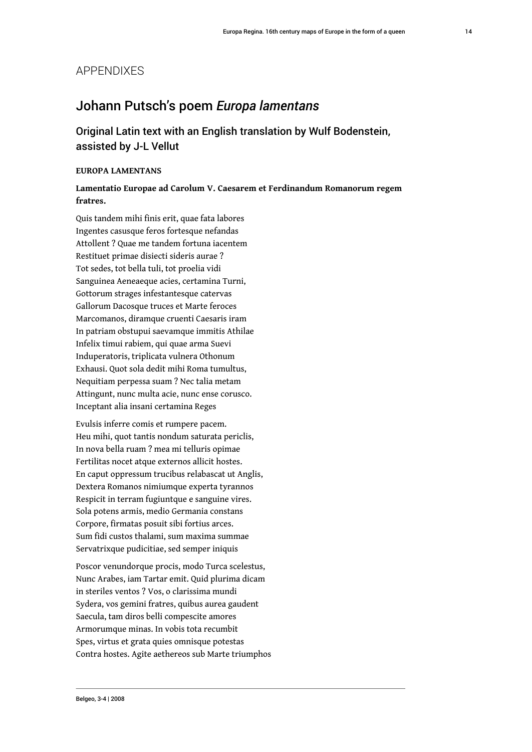#### APPENDIXES

### Johann Putsch's poem *Europa lamentans*

Original Latin text with an English translation by Wulf Bodenstein, assisted by J-L Vellut

#### **EUROPA LAMENTANS**

#### **Lamentatio Europae ad Carolum V. Caesarem et Ferdinandum Romanorum regem fratres.**

Quis tandem mihi finis erit, quae fata labores Ingentes casusque feros fortesque nefandas Attollent ? Quae me tandem fortuna iacentem Restituet primae disiecti sideris aurae ? Tot sedes, tot bella tuli, tot proelia vidi Sanguinea Aeneaeque acies, certamina Turni, Gottorum strages infestantesque catervas Gallorum Dacosque truces et Marte feroces Marcomanos, diramque cruenti Caesaris iram In patriam obstupui saevamque immitis Athilae Infelix timui rabiem, qui quae arma Suevi Induperatoris, triplicata vulnera Othonum Exhausi. Quot sola dedit mihi Roma tumultus, Nequitiam perpessa suam ? Nec talia metam Attingunt, nunc multa acie, nunc ense corusco. Inceptant alia insani certamina Reges

Evulsis inferre comis et rumpere pacem. Heu mihi, quot tantis nondum saturata periclis, In nova bella ruam ? mea mi telluris opimae Fertilitas nocet atque externos allicit hostes. En caput oppressum trucibus relabascat ut Anglis, Dextera Romanos nimiumque experta tyrannos Respicit in terram fugiuntque e sanguine vires. Sola potens armis, medio Germania constans Corpore, firmatas posuit sibi fortius arces. Sum fidi custos thalami, sum maxima summae Servatrixque pudicitiae, sed semper iniquis

Poscor venundorque procis, modo Turca scelestus, Nunc Arabes, iam Tartar emit. Quid plurima dicam in steriles ventos ? Vos, o clarissima mundi Sydera, vos gemini fratres, quibus aurea gaudent Saecula, tam diros belli compescite amores Armorumque minas. In vobis tota recumbit Spes, virtus et grata quies omnisque potestas Contra hostes. Agite aethereos sub Marte triumphos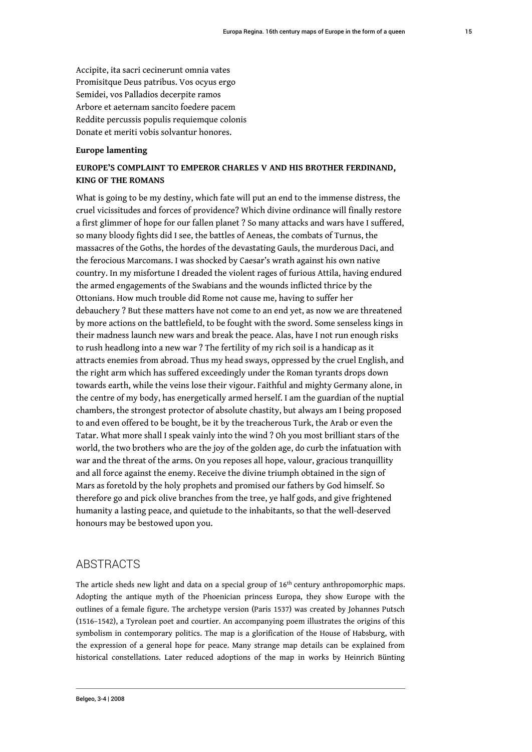Accipite, ita sacri cecinerunt omnia vates Promisitque Deus patribus. Vos ocyus ergo Semidei, vos Palladios decerpite ramos Arbore et aeternam sancito foedere pacem Reddite percussis populis requiemque colonis Donate et meriti vobis solvantur honores.

#### **Europe lamenting**

#### **EUROPE'S COMPLAINT TO EMPEROR CHARLES V AND HIS BROTHER FERDINAND, KING OF THE ROMANS**

What is going to be my destiny, which fate will put an end to the immense distress, the cruel vicissitudes and forces of providence? Which divine ordinance will finally restore a first glimmer of hope for our fallen planet ? So many attacks and wars have I suffered, so many bloody fights did I see, the battles of Aeneas, the combats of Turnus, the massacres of the Goths, the hordes of the devastating Gauls, the murderous Daci, and the ferocious Marcomans. I was shocked by Caesar's wrath against his own native country. In my misfortune I dreaded the violent rages of furious Attila, having endured the armed engagements of the Swabians and the wounds inflicted thrice by the Ottonians. How much trouble did Rome not cause me, having to suffer her debauchery ? But these matters have not come to an end yet, as now we are threatened by more actions on the battlefield, to be fought with the sword. Some senseless kings in their madness launch new wars and break the peace. Alas, have I not run enough risks to rush headlong into a new war ? The fertility of my rich soil is a handicap as it attracts enemies from abroad. Thus my head sways, oppressed by the cruel English, and the right arm which has suffered exceedingly under the Roman tyrants drops down towards earth, while the veins lose their vigour. Faithful and mighty Germany alone, in the centre of my body, has energetically armed herself. I am the guardian of the nuptial chambers, the strongest protector of absolute chastity, but always am I being proposed to and even offered to be bought, be it by the treacherous Turk, the Arab or even the Tatar. What more shall I speak vainly into the wind ? Oh you most brilliant stars of the world, the two brothers who are the joy of the golden age, do curb the infatuation with war and the threat of the arms. On you reposes all hope, valour, gracious tranquillity and all force against the enemy. Receive the divine triumph obtained in the sign of Mars as foretold by the holy prophets and promised our fathers by God himself. So therefore go and pick olive branches from the tree, ye half gods, and give frightened humanity a lasting peace, and quietude to the inhabitants, so that the well-deserved honours may be bestowed upon you.

#### **ABSTRACTS**

The article sheds new light and data on a special group of 16<sup>th</sup> century anthropomorphic maps. Adopting the antique myth of the Phoenician princess Europa, they show Europe with the outlines of a female figure. The archetype version (Paris 1537) was created by Johannes Putsch (1516–1542), a Tyrolean poet and courtier. An accompanying poem illustrates the origins of this symbolism in contemporary politics. The map is a glorification of the House of Habsburg, with the expression of a general hope for peace. Many strange map details can be explained from historical constellations. Later reduced adoptions of the map in works by Heinrich Bünting